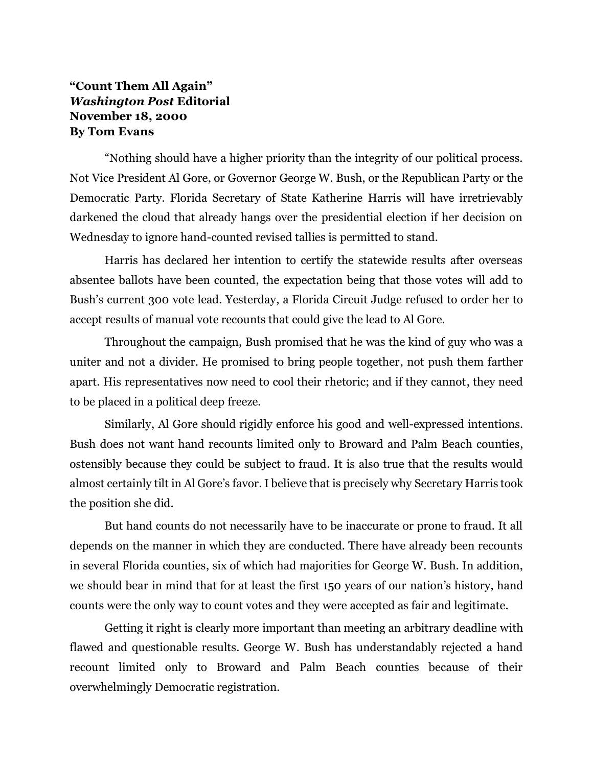## **"Count Them All Again"** *Washington Post* **Editorial November 18, 2000 By Tom Evans**

"Nothing should have a higher priority than the integrity of our political process. Not Vice President Al Gore, or Governor George W. Bush, or the Republican Party or the Democratic Party. Florida Secretary of State Katherine Harris will have irretrievably darkened the cloud that already hangs over the presidential election if her decision on Wednesday to ignore hand-counted revised tallies is permitted to stand.

Harris has declared her intention to certify the statewide results after overseas absentee ballots have been counted, the expectation being that those votes will add to Bush's current 300 vote lead. Yesterday, a Florida Circuit Judge refused to order her to accept results of manual vote recounts that could give the lead to Al Gore.

Throughout the campaign, Bush promised that he was the kind of guy who was a uniter and not a divider. He promised to bring people together, not push them farther apart. His representatives now need to cool their rhetoric; and if they cannot, they need to be placed in a political deep freeze.

Similarly, Al Gore should rigidly enforce his good and well-expressed intentions. Bush does not want hand recounts limited only to Broward and Palm Beach counties, ostensibly because they could be subject to fraud. It is also true that the results would almost certainly tilt in Al Gore's favor. I believe that is precisely why Secretary Harris took the position she did.

But hand counts do not necessarily have to be inaccurate or prone to fraud. It all depends on the manner in which they are conducted. There have already been recounts in several Florida counties, six of which had majorities for George W. Bush. In addition, we should bear in mind that for at least the first 150 years of our nation's history, hand counts were the only way to count votes and they were accepted as fair and legitimate.

Getting it right is clearly more important than meeting an arbitrary deadline with flawed and questionable results. George W. Bush has understandably rejected a hand recount limited only to Broward and Palm Beach counties because of their overwhelmingly Democratic registration.